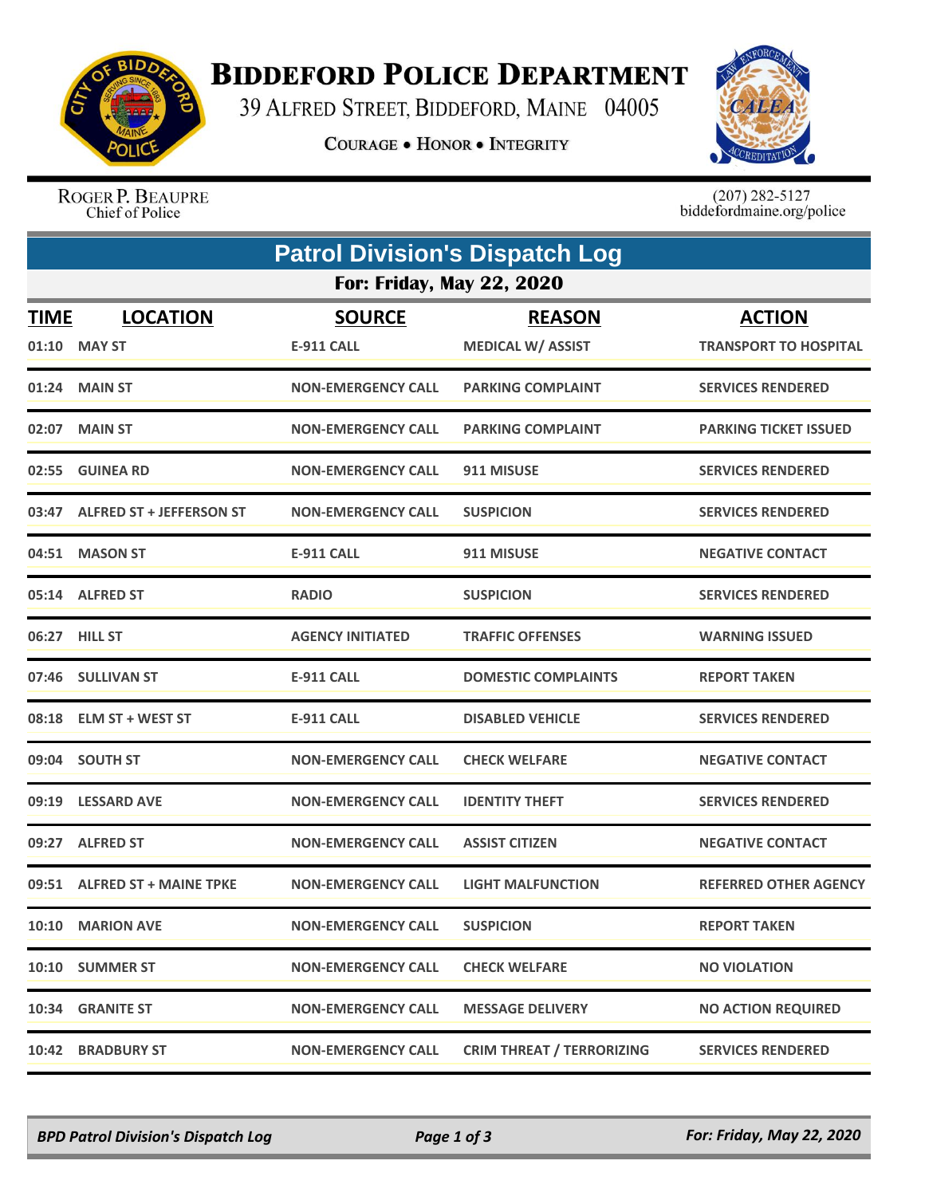

## **BIDDEFORD POLICE DEPARTMENT**

39 ALFRED STREET, BIDDEFORD, MAINE 04005

**COURAGE . HONOR . INTEGRITY** 



ROGER P. BEAUPRE Chief of Police

 $(207)$  282-5127<br>biddefordmaine.org/police

|                                  | <b>Patrol Division's Dispatch Log</b> |                           |                                  |                              |  |  |  |  |
|----------------------------------|---------------------------------------|---------------------------|----------------------------------|------------------------------|--|--|--|--|
| <b>For: Friday, May 22, 2020</b> |                                       |                           |                                  |                              |  |  |  |  |
| <b>TIME</b>                      | <b>LOCATION</b>                       | <b>SOURCE</b>             | <b>REASON</b>                    | <b>ACTION</b>                |  |  |  |  |
|                                  | 01:10 MAY ST                          | <b>E-911 CALL</b>         | <b>MEDICAL W/ ASSIST</b>         | <b>TRANSPORT TO HOSPITAL</b> |  |  |  |  |
|                                  | 01:24 MAIN ST                         | <b>NON-EMERGENCY CALL</b> | <b>PARKING COMPLAINT</b>         | <b>SERVICES RENDERED</b>     |  |  |  |  |
|                                  | 02:07 MAIN ST                         | <b>NON-EMERGENCY CALL</b> | <b>PARKING COMPLAINT</b>         | <b>PARKING TICKET ISSUED</b> |  |  |  |  |
| 02:55                            | <b>GUINEA RD</b>                      | <b>NON-EMERGENCY CALL</b> | 911 MISUSE                       | <b>SERVICES RENDERED</b>     |  |  |  |  |
|                                  | 03:47 ALFRED ST + JEFFERSON ST        | <b>NON-EMERGENCY CALL</b> | <b>SUSPICION</b>                 | <b>SERVICES RENDERED</b>     |  |  |  |  |
|                                  | 04:51 MASON ST                        | <b>E-911 CALL</b>         | 911 MISUSE                       | <b>NEGATIVE CONTACT</b>      |  |  |  |  |
|                                  | 05:14 ALFRED ST                       | <b>RADIO</b>              | <b>SUSPICION</b>                 | <b>SERVICES RENDERED</b>     |  |  |  |  |
|                                  | 06:27 HILL ST                         | <b>AGENCY INITIATED</b>   | <b>TRAFFIC OFFENSES</b>          | <b>WARNING ISSUED</b>        |  |  |  |  |
|                                  | 07:46 SULLIVAN ST                     | <b>E-911 CALL</b>         | <b>DOMESTIC COMPLAINTS</b>       | <b>REPORT TAKEN</b>          |  |  |  |  |
|                                  | 08:18 ELM ST + WEST ST                | <b>E-911 CALL</b>         | <b>DISABLED VEHICLE</b>          | <b>SERVICES RENDERED</b>     |  |  |  |  |
|                                  | 09:04 SOUTH ST                        | <b>NON-EMERGENCY CALL</b> | <b>CHECK WELFARE</b>             | <b>NEGATIVE CONTACT</b>      |  |  |  |  |
|                                  | 09:19 LESSARD AVE                     | <b>NON-EMERGENCY CALL</b> | <b>IDENTITY THEFT</b>            | <b>SERVICES RENDERED</b>     |  |  |  |  |
|                                  | 09:27 ALFRED ST                       | <b>NON-EMERGENCY CALL</b> | <b>ASSIST CITIZEN</b>            | <b>NEGATIVE CONTACT</b>      |  |  |  |  |
|                                  | 09:51 ALFRED ST + MAINE TPKE          | <b>NON-EMERGENCY CALL</b> | <b>LIGHT MALFUNCTION</b>         | <b>REFERRED OTHER AGENCY</b> |  |  |  |  |
|                                  | 10:10 MARION AVE                      | <b>NON-EMERGENCY CALL</b> | <b>SUSPICION</b>                 | <b>REPORT TAKEN</b>          |  |  |  |  |
|                                  | 10:10 SUMMER ST                       | <b>NON-EMERGENCY CALL</b> | <b>CHECK WELFARE</b>             | <b>NO VIOLATION</b>          |  |  |  |  |
|                                  | 10:34 GRANITE ST                      | <b>NON-EMERGENCY CALL</b> | <b>MESSAGE DELIVERY</b>          | <b>NO ACTION REQUIRED</b>    |  |  |  |  |
|                                  | 10:42 BRADBURY ST                     | <b>NON-EMERGENCY CALL</b> | <b>CRIM THREAT / TERRORIZING</b> | <b>SERVICES RENDERED</b>     |  |  |  |  |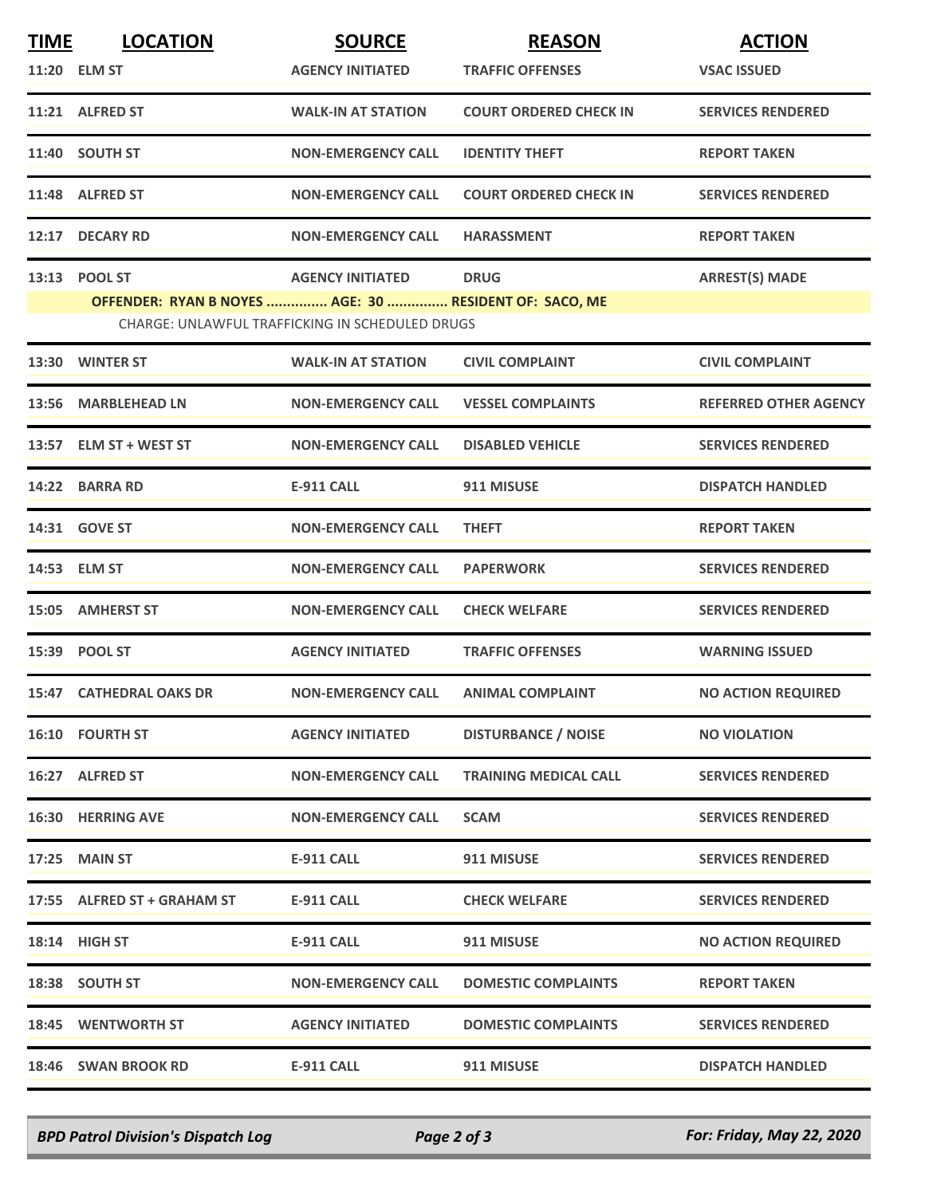| <b>TIME</b> | <b>LOCATION</b>                                                         | <b>SOURCE</b>                                                              | <b>REASON</b>                 | <b>ACTION</b>                |
|-------------|-------------------------------------------------------------------------|----------------------------------------------------------------------------|-------------------------------|------------------------------|
|             | 11:20 ELM ST                                                            | <b>AGENCY INITIATED</b>                                                    | <b>TRAFFIC OFFENSES</b>       | <b>VSAC ISSUED</b>           |
|             | 11:21 ALFRED ST                                                         | <b>WALK-IN AT STATION</b>                                                  | <b>COURT ORDERED CHECK IN</b> | <b>SERVICES RENDERED</b>     |
|             | 11:40 SOUTH ST                                                          | <b>NON-EMERGENCY CALL</b>                                                  | <b>IDENTITY THEFT</b>         | <b>REPORT TAKEN</b>          |
|             | 11:48 ALFRED ST                                                         | <b>NON-EMERGENCY CALL</b>                                                  | <b>COURT ORDERED CHECK IN</b> | <b>SERVICES RENDERED</b>     |
|             | 12:17 DECARY RD                                                         | <b>NON-EMERGENCY CALL</b>                                                  | <b>HARASSMENT</b>             | <b>REPORT TAKEN</b>          |
|             | 13:13 POOL ST<br>OFFENDER: RYAN B NOYES  AGE: 30  RESIDENT OF: SACO, ME | <b>AGENCY INITIATED</b><br>CHARGE: UNLAWFUL TRAFFICKING IN SCHEDULED DRUGS | <b>DRUG</b>                   | <b>ARREST(S) MADE</b>        |
|             | 13:30 WINTER ST                                                         | <b>WALK-IN AT STATION</b>                                                  | <b>CIVIL COMPLAINT</b>        | <b>CIVIL COMPLAINT</b>       |
|             | 13:56 MARBLEHEAD LN                                                     | <b>NON-EMERGENCY CALL</b>                                                  | <b>VESSEL COMPLAINTS</b>      | <b>REFERRED OTHER AGENCY</b> |
|             | 13:57 ELM ST + WEST ST                                                  | <b>NON-EMERGENCY CALL</b>                                                  | <b>DISABLED VEHICLE</b>       | <b>SERVICES RENDERED</b>     |
|             | 14:22 BARRA RD                                                          | <b>E-911 CALL</b>                                                          | 911 MISUSE                    | <b>DISPATCH HANDLED</b>      |
|             | 14:31 GOVE ST                                                           | <b>NON-EMERGENCY CALL</b>                                                  | <b>THEFT</b>                  | <b>REPORT TAKEN</b>          |
|             | 14:53 ELM ST                                                            | <b>NON-EMERGENCY CALL</b>                                                  | <b>PAPERWORK</b>              | <b>SERVICES RENDERED</b>     |
|             | 15:05 AMHERST ST                                                        | <b>NON-EMERGENCY CALL</b>                                                  | <b>CHECK WELFARE</b>          | <b>SERVICES RENDERED</b>     |
|             | 15:39 POOL ST                                                           | <b>AGENCY INITIATED</b>                                                    | <b>TRAFFIC OFFENSES</b>       | <b>WARNING ISSUED</b>        |
|             | <b>15:47 CATHEDRAL OAKS DR</b>                                          | <b>NON-EMERGENCY CALL</b>                                                  | <b>ANIMAL COMPLAINT</b>       | <b>NO ACTION REQUIRED</b>    |
|             | 16:10 FOURTH ST                                                         | <b>AGENCY INITIATED</b>                                                    | <b>DISTURBANCE / NOISE</b>    | <b>NO VIOLATION</b>          |
|             | 16:27 ALFRED ST                                                         | <b>NON-EMERGENCY CALL</b>                                                  | <b>TRAINING MEDICAL CALL</b>  | <b>SERVICES RENDERED</b>     |
|             | <b>16:30 HERRING AVE</b>                                                | <b>NON-EMERGENCY CALL</b>                                                  | <b>SCAM</b>                   | <b>SERVICES RENDERED</b>     |
|             | 17:25 MAIN ST                                                           | <b>E-911 CALL</b>                                                          | 911 MISUSE                    | <b>SERVICES RENDERED</b>     |
|             | 17:55 ALFRED ST + GRAHAM ST                                             | <b>E-911 CALL</b>                                                          | <b>CHECK WELFARE</b>          | <b>SERVICES RENDERED</b>     |
|             | 18:14 HIGH ST                                                           | <b>E-911 CALL</b>                                                          | 911 MISUSE                    | <b>NO ACTION REQUIRED</b>    |
|             | 18:38 SOUTH ST                                                          | <b>NON-EMERGENCY CALL</b>                                                  | <b>DOMESTIC COMPLAINTS</b>    | <b>REPORT TAKEN</b>          |
|             | <b>18:45 WENTWORTH ST</b>                                               | <b>AGENCY INITIATED</b>                                                    | <b>DOMESTIC COMPLAINTS</b>    | <b>SERVICES RENDERED</b>     |
|             | 18:46 SWAN BROOK RD                                                     | <b>E-911 CALL</b>                                                          | 911 MISUSE                    | <b>DISPATCH HANDLED</b>      |

*BPD Patrol Division's Dispatch Log Page 2 of 3 For: Friday, May 22, 2020*